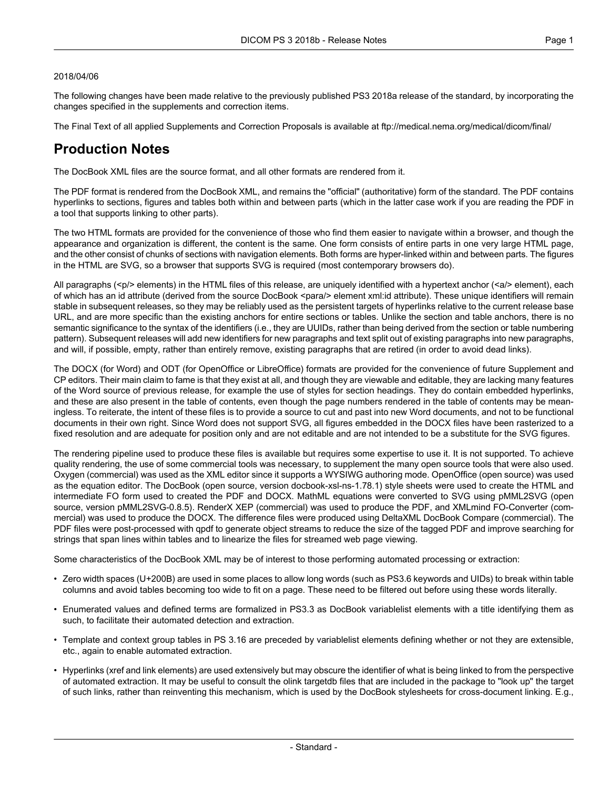#### 2018/04/06

The following changes have been made relative to the previously published PS3 2018a release of the standard, by incorporating the changes specified in the supplements and correction items.

The Final Text of all applied Supplements and Correction Proposals is available at <ftp://medical.nema.org/medical/dicom/final/>

# **Production Notes**

The DocBook XML files are the source format, and all other formats are rendered from it.

The PDF format is rendered from the DocBook XML, and remains the "official" (authoritative) form of the standard. The PDF contains hyperlinks to sections, figures and tables both within and between parts (which in the latter case work if you are reading the PDF in a tool that supports linking to other parts).

The two HTML formats are provided for the convenience of those who find them easier to navigate within a browser, and though the appearance and organization is different, the content is the same. One form consists of entire parts in one very large HTML page, and the other consist of chunks of sections with navigation elements. Both forms are hyper-linked within and between parts. The figures in the HTML are SVG, so a browser that supports SVG is required (most contemporary browsers do).

All paragraphs (<p/> elements) in the HTML files of this release, are uniquely identified with a hypertext anchor (<a/><a/>> element), each of which has an id attribute (derived from the source DocBook <para/> element xml:id attribute). These unique identifiers will remain stable in subsequent releases, so they may be reliably used as the persistent targets of hyperlinks relative to the current release base URL, and are more specific than the existing anchors for entire sections or tables. Unlike the section and table anchors, there is no semantic significance to the syntax of the identifiers (i.e., they are UUIDs, rather than being derived from the section or table numbering pattern). Subsequent releases will add new identifiers for new paragraphs and text split out of existing paragraphs into new paragraphs, and will, if possible, empty, rather than entirely remove, existing paragraphs that are retired (in order to avoid dead links).

The DOCX (for Word) and ODT (for OpenOffice or LibreOffice) formats are provided for the convenience of future Supplement and CP editors. Their main claim to fame is that they exist at all, and though they are viewable and editable, they are lacking many features of the Word source of previous release, for example the use of styles for section headings. They do contain embedded hyperlinks, and these are also present in the table of contents, even though the page numbers rendered in the table of contents may be mean ingless. To reiterate, the intent of these files is to provide a source to cut and past into new Word documents, and not to be functional documents in their own right. Since Word does not support SVG, all figures embedded in the DOCX files have been rasterized to a fixed resolution and are adequate for position only and are not editable and are not intended to be a substitute for the SVG figures.

The rendering pipeline used to produce these files is available but requires some expertise to use it. It is not supported. To achieve quality rendering, the use of some commercial tools was necessary, to supplement the many open source tools that were also used. Oxygen (commercial) was used as the XML editor since it supports a WYSIWG authoring mode. OpenOffice (open source) was used as the equation editor. The DocBook (open source, version docbook-xsl-ns-1.78.1) style sheets were used to create the HTML and intermediate FO form used to created the PDF and DOCX. MathML equations were converted to SVG using pMML2SVG (open source, version pMML2SVG-0.8.5). RenderX XEP (commercial) was used to produce the PDF, and XMLmind FO-Converter (com mercial) was used to produce the DOCX. The difference files were produced using DeltaXML DocBook Compare (commercial). The PDF files were post-processed with qpdf to generate object streams to reduce the size of the tagged PDF and improve searching for strings that span lines within tables and to linearize the files for streamed web page viewing.

Some characteristics of the DocBook XML may be of interest to those performing automated processing or extraction:

- Zero width spaces (U+200B) are used in some places to allow long words (such as PS3.6 keywords and UIDs) to break within table columns and avoid tables becoming too wide to fit on a page. These need to be filtered out before using these words literally.
- Enumerated values and defined terms are formalized in PS3.3 as DocBook variablelist elements with a title identifying them as such, to facilitate their automated detection and extraction.
- Template and context group tables in PS 3.16 are preceded by variablelist elements defining whether or not they are extensible, etc., again to enable automated extraction.
- Hyperlinks (xref and link elements) are used extensively but may obscure the identifier of what is being linked to from the perspective of automated extraction. It may be useful to consult the olink targetdb files that are included in the package to "look up" the target of such links, rather than reinventing this mechanism, which is used by the DocBook stylesheets for cross-document linking. E.g.,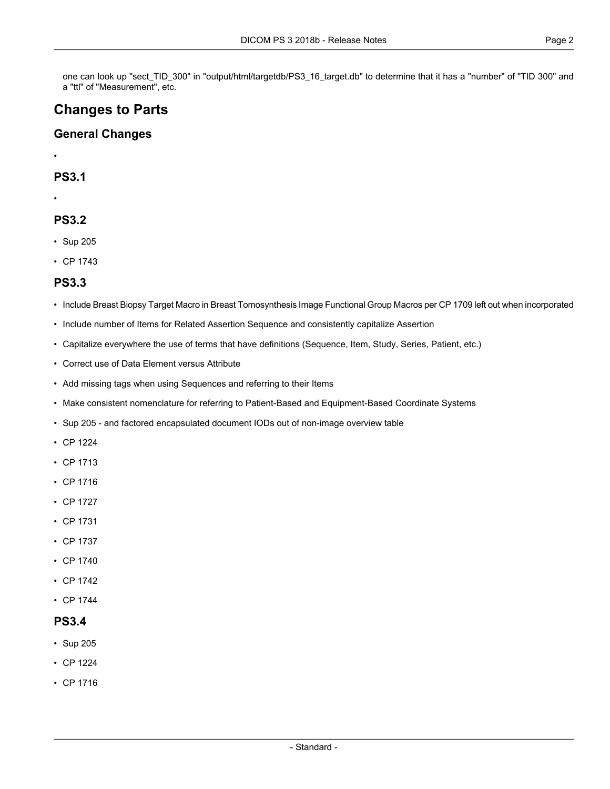one can look up "sect\_TID\_300" in "output/html/targetdb/PS3\_16\_target.db" to determine that it has a "number" of "TID 300" and a "ttl" of "Measurement", etc.

# **Changes to Parts**

#### **General Changes**

•

#### **PS3.1**

•

### **PS3.2**

- [Sup](#page-3-0) 205
- CP [1743](#page-4-0)

### **PS3.3**

- Include Breast Biopsy Target Macro in Breast Tomosynthesis Image Functional Group Macros per CP 1709 left out when incorporated
- Include number of Items for Related Assertion Sequence and consistently capitalize Assertion
- Capitalize everywhere the use of terms that have definitions (Sequence, Item, Study, Series, Patient, etc.)
- Correct use of Data Element versus Attribute
- Add missing tags when using Sequences and referring to their Items
- Make consistent nomenclature for referring to Patient-Based and Equipment-Based Coordinate Systems
- [Sup](#page-3-0) 205 and factored encapsulated document IODs out of non-image overview table
- CP [1224](#page-3-1)
- CP [1713](#page-3-2)
- CP [1716](#page-3-3)
- CP [1727](#page-3-4)
- CP [1731](#page-4-1)
- CP [1737](#page-4-2)
- CP [1740](#page-4-3)
- CP [1742](#page-4-4)
- CP [1744](#page-4-5)

#### **PS3.4**

- [Sup](#page-3-0) 205
- CP [1224](#page-3-1)
- CP [1716](#page-3-3)

- Standard -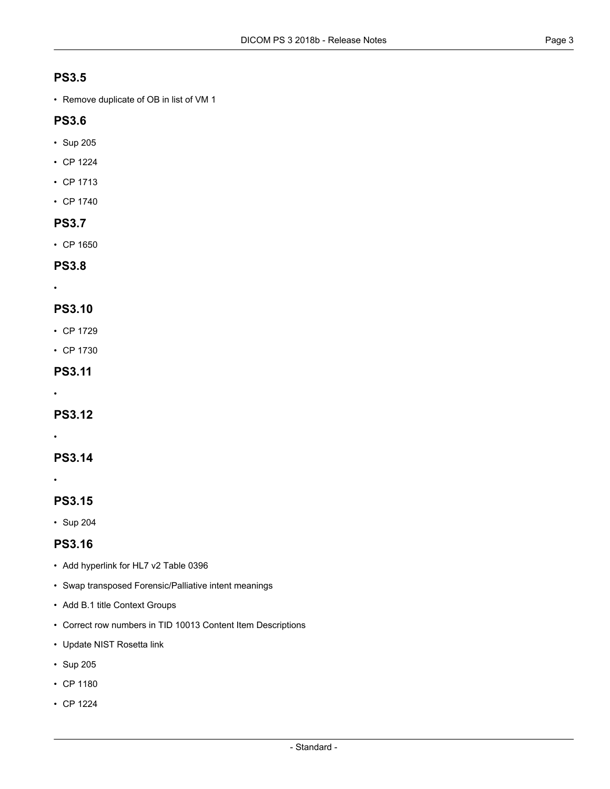# **PS3.5**

• Remove duplicate of OB in list of VM 1

# **PS3.6**

- [Sup](#page-3-0) 205
- CP [1224](#page-3-1)
- CP [1713](#page-3-2)
- CP [1740](#page-4-3)

### **PS3.7**

• CP [1650](#page-3-5)

### **PS3.8**

•

# **PS3.10**

- CP [1729](#page-3-6)
- CP [1730](#page-3-7)

### **PS3.11**

•

# **PS3.12**

•

# **PS3.14**

•

# **PS3.15**

• [Sup](#page-3-8) 204

# **PS3.16**

- Add hyperlink for HL7 v2 Table 0396
- Swap transposed Forensic/Palliative intent meanings
- Add B.1 title Context Groups
- Correct row numbers in TID 10013 Content Item Descriptions
- Update NIST Rosetta link
- [Sup](#page-3-0) 205
- CP [1180](#page-3-9)
- CP [1224](#page-3-1)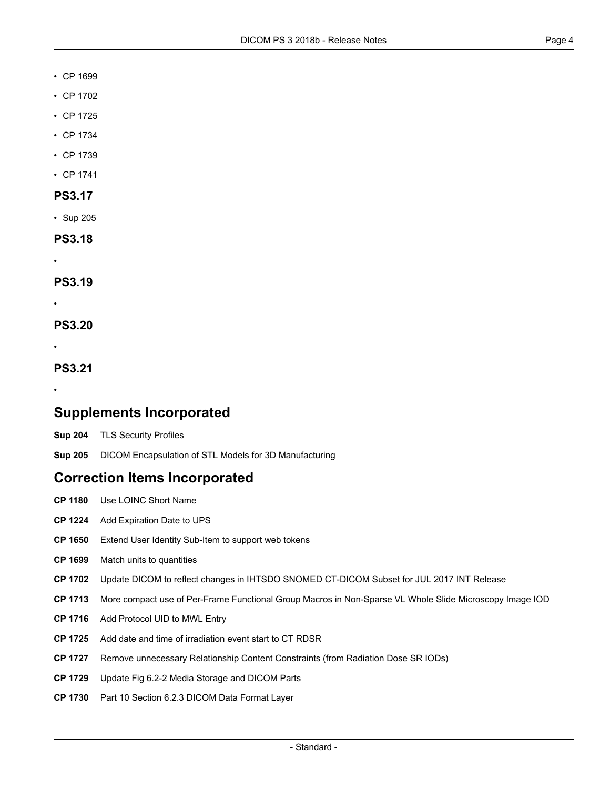#### • CP [1699](#page-3-10)

- CP [1702](#page-3-11)
- CP [1725](#page-3-12)
- CP [1734](#page-4-6)
- CP [1739](#page-4-7)
- CP [1741](#page-4-8)

#### **PS3.17**

• [Sup](#page-3-0) 205

**PS3.18**

# **PS3.19**

•

•

**PS3.20**

•

**PS3.21**

<span id="page-3-8"></span>•

# <span id="page-3-0"></span>**Supplements Incorporated**

- **[Sup](ftp://medical.nema.org/medical/dicom/final/sup204_ft_TLS-Security-Profiles.pdf) 204** TLS Security Profiles
- <span id="page-3-9"></span>**[Sup](ftp://medical.nema.org/medical/dicom/final/sup205_ft_DICOM_Encapsulation_of_STL_Models_for_3D_Manufacturing.pdf) 205** DICOM Encapsulation of STL Models for 3D Manufacturing

# <span id="page-3-5"></span><span id="page-3-1"></span>**Correction Items Incorporated**

- <span id="page-3-10"></span>**CP [1180](ftp://medical.nema.org/medical/dicom/final/cp1180_ft.pdf)** Use LOINC Short Name
- <span id="page-3-11"></span>**CP [1224](ftp://medical.nema.org/medical/dicom/final/cp1224_ft_AddExpirationDateToUPS.pdf)** Add Expiration Date to UPS
- <span id="page-3-2"></span>**CP [1650](ftp://medical.nema.org/medical/dicom/final/cp1650_ft_extendidentitymechanisms.pdf)** Extend User Identity Sub-Item to support web tokens
- <span id="page-3-3"></span>**CP [1699](ftp://medical.nema.org/medical/dicom/final/cp1699_ft_matchunitstoquantities.pdf)** Match units to quantities
- <span id="page-3-12"></span>**CP [1702](ftp://medical.nema.org/medical/dicom/final/cp1702_ft_ihtsdoJul2017INTreleaseupdate.pdf)** Update DICOM to reflect changes in IHTSDO SNOMED CT-DICOM Subset for JUL 2017 INT Release
- <span id="page-3-4"></span>**CP [1713](ftp://medical.nema.org/medical/dicom/final/cp1713_ft_WSIPerFrameFunctionalGroupMacro.pdf)** More compact use of Per-Frame Functional Group Macros in Non-Sparse VL Whole Slide Microscopy Image IOD
- <span id="page-3-6"></span>**CP [1716](ftp://medical.nema.org/medical/dicom/final/cp1716_ft_AddProtocolUIDtoMWLentry.pdf)** Add Protocol UID to MWL Entry
- <span id="page-3-7"></span>**CP [1725](ftp://medical.nema.org/medical/dicom/final/cp1725_ft_Add EventDateTime to CT RDSR.pdf)** Add date and time of irradiation event start to CT RDSR
- **CP [1727](ftp://medical.nema.org/medical/dicom/final/cp1727_ft_remove_unnecessary_relationship_content_constraints.pdf)** Remove unnecessary Relationship Content Constraints (from Radiation Dose SR IODs)
- **CP [1729](ftp://medical.nema.org/medical/dicom/final/cp1729_ft_Update fig Media Storage and DICOM Parts.pdf)** Update Fig 6.2-2 Media Storage and DICOM Parts
- **CP [1730](ftp://medical.nema.org/medical/dicom/final/cp1730_ft_Data Format Layer elements.pdf)** Part 10 Section 6.2.3 DICOM Data Format Layer